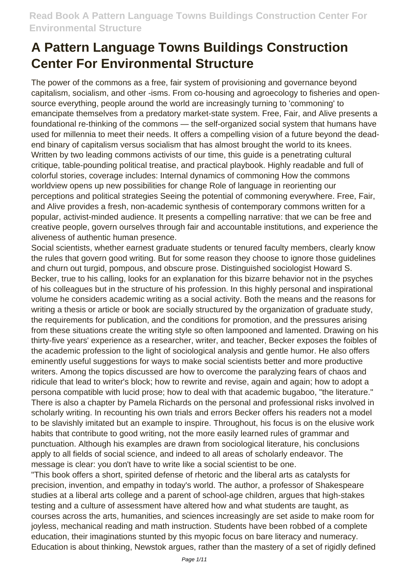The power of the commons as a free, fair system of provisioning and governance beyond capitalism, socialism, and other -isms. From co-housing and agroecology to fisheries and opensource everything, people around the world are increasingly turning to 'commoning' to emancipate themselves from a predatory market-state system. Free, Fair, and Alive presents a foundational re-thinking of the commons — the self-organized social system that humans have used for millennia to meet their needs. It offers a compelling vision of a future beyond the deadend binary of capitalism versus socialism that has almost brought the world to its knees. Written by two leading commons activists of our time, this guide is a penetrating cultural critique, table-pounding political treatise, and practical playbook. Highly readable and full of colorful stories, coverage includes: Internal dynamics of commoning How the commons worldview opens up new possibilities for change Role of language in reorienting our perceptions and political strategies Seeing the potential of commoning everywhere. Free, Fair, and Alive provides a fresh, non-academic synthesis of contemporary commons written for a popular, activist-minded audience. It presents a compelling narrative: that we can be free and creative people, govern ourselves through fair and accountable institutions, and experience the aliveness of authentic human presence.

Social scientists, whether earnest graduate students or tenured faculty members, clearly know the rules that govern good writing. But for some reason they choose to ignore those guidelines and churn out turgid, pompous, and obscure prose. Distinguished sociologist Howard S. Becker, true to his calling, looks for an explanation for this bizarre behavior not in the psyches of his colleagues but in the structure of his profession. In this highly personal and inspirational volume he considers academic writing as a social activity. Both the means and the reasons for writing a thesis or article or book are socially structured by the organization of graduate study, the requirements for publication, and the conditions for promotion, and the pressures arising from these situations create the writing style so often lampooned and lamented. Drawing on his thirty-five years' experience as a researcher, writer, and teacher, Becker exposes the foibles of the academic profession to the light of sociological analysis and gentle humor. He also offers eminently useful suggestions for ways to make social scientists better and more productive writers. Among the topics discussed are how to overcome the paralyzing fears of chaos and ridicule that lead to writer's block; how to rewrite and revise, again and again; how to adopt a persona compatible with lucid prose; how to deal with that academic bugaboo, "the literature." There is also a chapter by Pamela Richards on the personal and professional risks involved in scholarly writing. In recounting his own trials and errors Becker offers his readers not a model to be slavishly imitated but an example to inspire. Throughout, his focus is on the elusive work habits that contribute to good writing, not the more easily learned rules of grammar and punctuation. Although his examples are drawn from sociological literature, his conclusions apply to all fields of social science, and indeed to all areas of scholarly endeavor. The message is clear: you don't have to write like a social scientist to be one.

"This book offers a short, spirited defense of rhetoric and the liberal arts as catalysts for precision, invention, and empathy in today's world. The author, a professor of Shakespeare studies at a liberal arts college and a parent of school-age children, argues that high-stakes testing and a culture of assessment have altered how and what students are taught, as courses across the arts, humanities, and sciences increasingly are set aside to make room for joyless, mechanical reading and math instruction. Students have been robbed of a complete education, their imaginations stunted by this myopic focus on bare literacy and numeracy. Education is about thinking, Newstok argues, rather than the mastery of a set of rigidly defined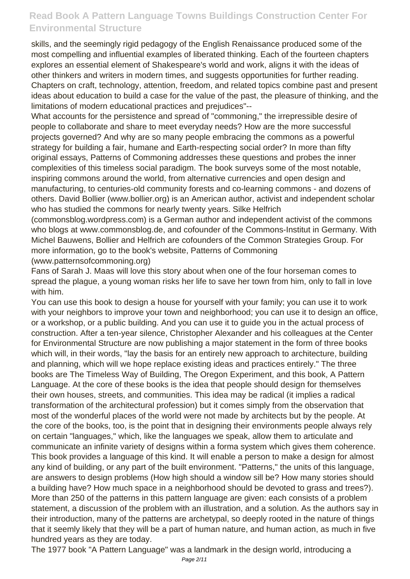skills, and the seemingly rigid pedagogy of the English Renaissance produced some of the most compelling and influential examples of liberated thinking. Each of the fourteen chapters explores an essential element of Shakespeare's world and work, aligns it with the ideas of other thinkers and writers in modern times, and suggests opportunities for further reading. Chapters on craft, technology, attention, freedom, and related topics combine past and present ideas about education to build a case for the value of the past, the pleasure of thinking, and the limitations of modern educational practices and prejudices"--

What accounts for the persistence and spread of "commoning," the irrepressible desire of people to collaborate and share to meet everyday needs? How are the more successful projects governed? And why are so many people embracing the commons as a powerful strategy for building a fair, humane and Earth-respecting social order? In more than fifty original essays, Patterns of Commoning addresses these questions and probes the inner complexities of this timeless social paradigm. The book surveys some of the most notable, inspiring commons around the world, from alternative currencies and open design and manufacturing, to centuries-old community forests and co-learning commons - and dozens of others. David Bollier (www.bollier.org) is an American author, activist and independent scholar who has studied the commons for nearly twenty years. Silke Helfrich

(commonsblog.wordpress.com) is a German author and independent activist of the commons who blogs at www.commonsblog.de, and cofounder of the Commons-Institut in Germany. With Michel Bauwens, Bollier and Helfrich are cofounders of the Common Strategies Group. For more information, go to the book's website, Patterns of Commoning

(www.patternsofcommoning.org)

Fans of Sarah J. Maas will love this story about when one of the four horseman comes to spread the plague, a young woman risks her life to save her town from him, only to fall in love with him.

You can use this book to design a house for yourself with your family; you can use it to work with your neighbors to improve your town and neighborhood; you can use it to design an office, or a workshop, or a public building. And you can use it to guide you in the actual process of construction. After a ten-year silence, Christopher Alexander and his colleagues at the Center for Environmental Structure are now publishing a major statement in the form of three books which will, in their words, "lay the basis for an entirely new approach to architecture, building and planning, which will we hope replace existing ideas and practices entirely." The three books are The Timeless Way of Building, The Oregon Experiment, and this book, A Pattern Language. At the core of these books is the idea that people should design for themselves their own houses, streets, and communities. This idea may be radical (it implies a radical transformation of the architectural profession) but it comes simply from the observation that most of the wonderful places of the world were not made by architects but by the people. At the core of the books, too, is the point that in designing their environments people always rely on certain "languages," which, like the languages we speak, allow them to articulate and communicate an infinite variety of designs within a forma system which gives them coherence. This book provides a language of this kind. It will enable a person to make a design for almost any kind of building, or any part of the built environment. "Patterns," the units of this language, are answers to design problems (How high should a window sill be? How many stories should a building have? How much space in a neighborhood should be devoted to grass and trees?). More than 250 of the patterns in this pattern language are given: each consists of a problem statement, a discussion of the problem with an illustration, and a solution. As the authors say in their introduction, many of the patterns are archetypal, so deeply rooted in the nature of things that it seemly likely that they will be a part of human nature, and human action, as much in five hundred years as they are today.

The 1977 book "A Pattern Language" was a landmark in the design world, introducing a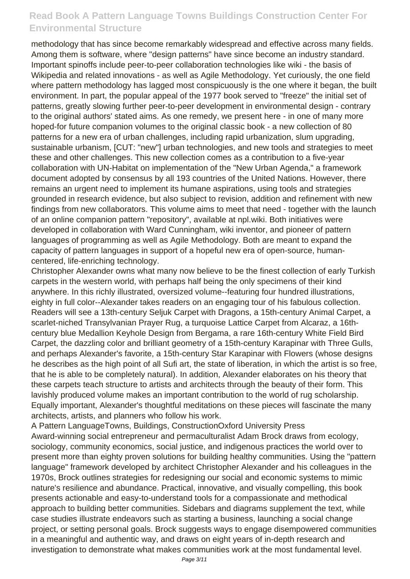methodology that has since become remarkably widespread and effective across many fields. Among them is software, where "design patterns" have since become an industry standard. Important spinoffs include peer-to-peer collaboration technologies like wiki - the basis of Wikipedia and related innovations - as well as Agile Methodology. Yet curiously, the one field where pattern methodology has lagged most conspicuously is the one where it began, the built environment. In part, the popular appeal of the 1977 book served to "freeze" the initial set of patterns, greatly slowing further peer-to-peer development in environmental design - contrary to the original authors' stated aims. As one remedy, we present here - in one of many more hoped-for future companion volumes to the original classic book - a new collection of 80 patterns for a new era of urban challenges, including rapid urbanization, slum upgrading, sustainable urbanism, [CUT: "new"] urban technologies, and new tools and strategies to meet these and other challenges. This new collection comes as a contribution to a five-year collaboration with UN-Habitat on implementation of the "New Urban Agenda," a framework document adopted by consensus by all 193 countries of the United Nations. However, there remains an urgent need to implement its humane aspirations, using tools and strategies grounded in research evidence, but also subject to revision, addition and refinement with new findings from new collaborators. This volume aims to meet that need - together with the launch of an online companion pattern "repository", available at npl.wiki. Both initiatives were developed in collaboration with Ward Cunningham, wiki inventor, and pioneer of pattern languages of programming as well as Agile Methodology. Both are meant to expand the capacity of pattern languages in support of a hopeful new era of open-source, humancentered, life-enriching technology.

Christopher Alexander owns what many now believe to be the finest collection of early Turkish carpets in the western world, with perhaps half being the only specimens of their kind anywhere. In this richly illustrated, oversized volume--featuring four hundred illustrations, eighty in full color--Alexander takes readers on an engaging tour of his fabulous collection. Readers will see a 13th-century Seljuk Carpet with Dragons, a 15th-century Animal Carpet, a scarlet-niched Transylvanian Prayer Rug, a turquoise Lattice Carpet from Alcaraz, a 16thcentury blue Medallion Keyhole Design from Bergama, a rare 16th-century White Field Bird Carpet, the dazzling color and brilliant geometry of a 15th-century Karapinar with Three Gulls, and perhaps Alexander's favorite, a 15th-century Star Karapinar with Flowers (whose designs he describes as the high point of all Sufi art, the state of liberation, in which the artist is so free, that he is able to be completely natural). In addition, Alexander elaborates on his theory that these carpets teach structure to artists and architects through the beauty of their form. This lavishly produced volume makes an important contribution to the world of rug scholarship. Equally important, Alexander's thoughtful meditations on these pieces will fascinate the many architects, artists, and planners who follow his work.

A Pattern LanguageTowns, Buildings, ConstructionOxford University Press Award-winning social entrepreneur and permaculturalist Adam Brock draws from ecology, sociology, community economics, social justice, and indigenous practices the world over to present more than eighty proven solutions for building healthy communities. Using the "pattern language" framework developed by architect Christopher Alexander and his colleagues in the 1970s, Brock outlines strategies for redesigning our social and economic systems to mimic nature's resilience and abundance. Practical, innovative, and visually compelling, this book presents actionable and easy-to-understand tools for a compassionate and methodical approach to building better communities. Sidebars and diagrams supplement the text, while case studies illustrate endeavors such as starting a business, launching a social change project, or setting personal goals. Brock suggests ways to engage disempowered communities in a meaningful and authentic way, and draws on eight years of in-depth research and investigation to demonstrate what makes communities work at the most fundamental level.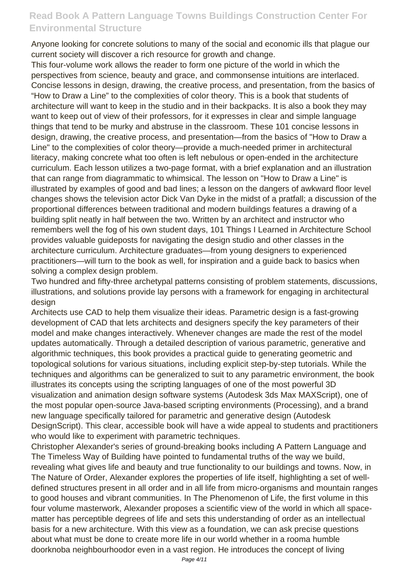Anyone looking for concrete solutions to many of the social and economic ills that plague our current society will discover a rich resource for growth and change.

This four-volume work allows the reader to form one picture of the world in which the perspectives from science, beauty and grace, and commonsense intuitions are interlaced. Concise lessons in design, drawing, the creative process, and presentation, from the basics of "How to Draw a Line" to the complexities of color theory. This is a book that students of architecture will want to keep in the studio and in their backpacks. It is also a book they may want to keep out of view of their professors, for it expresses in clear and simple language things that tend to be murky and abstruse in the classroom. These 101 concise lessons in design, drawing, the creative process, and presentation—from the basics of "How to Draw a Line" to the complexities of color theory—provide a much-needed primer in architectural literacy, making concrete what too often is left nebulous or open-ended in the architecture curriculum. Each lesson utilizes a two-page format, with a brief explanation and an illustration that can range from diagrammatic to whimsical. The lesson on "How to Draw a Line" is illustrated by examples of good and bad lines; a lesson on the dangers of awkward floor level changes shows the television actor Dick Van Dyke in the midst of a pratfall; a discussion of the proportional differences between traditional and modern buildings features a drawing of a building split neatly in half between the two. Written by an architect and instructor who remembers well the fog of his own student days, 101 Things I Learned in Architecture School provides valuable guideposts for navigating the design studio and other classes in the architecture curriculum. Architecture graduates—from young designers to experienced practitioners—will turn to the book as well, for inspiration and a guide back to basics when solving a complex design problem.

Two hundred and fifty-three archetypal patterns consisting of problem statements, discussions, illustrations, and solutions provide lay persons with a framework for engaging in architectural desian

Architects use CAD to help them visualize their ideas. Parametric design is a fast-growing development of CAD that lets architects and designers specify the key parameters of their model and make changes interactively. Whenever changes are made the rest of the model updates automatically. Through a detailed description of various parametric, generative and algorithmic techniques, this book provides a practical guide to generating geometric and topological solutions for various situations, including explicit step-by-step tutorials. While the techniques and algorithms can be generalized to suit to any parametric environment, the book illustrates its concepts using the scripting languages of one of the most powerful 3D visualization and animation design software systems (Autodesk 3ds Max MAXScript), one of the most popular open-source Java-based scripting environments (Processing), and a brand new language specifically tailored for parametric and generative design (Autodesk DesignScript). This clear, accessible book will have a wide appeal to students and practitioners who would like to experiment with parametric techniques.

Christopher Alexander's series of ground-breaking books including A Pattern Language and The Timeless Way of Building have pointed to fundamental truths of the way we build, revealing what gives life and beauty and true functionality to our buildings and towns. Now, in The Nature of Order, Alexander explores the properties of life itself, highlighting a set of welldefined structures present in all order and in all life from micro-organisms and mountain ranges to good houses and vibrant communities. In The Phenomenon of Life, the first volume in this four volume masterwork, Alexander proposes a scientific view of the world in which all spacematter has perceptible degrees of life and sets this understanding of order as an intellectual basis for a new architecture. With this view as a foundation, we can ask precise questions about what must be done to create more life in our world whether in a rooma humble doorknoba neighbourhoodor even in a vast region. He introduces the concept of living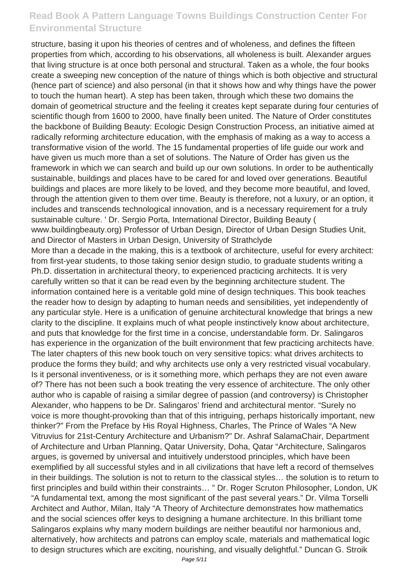structure, basing it upon his theories of centres and of wholeness, and defines the fifteen properties from which, according to his observations, all wholeness is built. Alexander argues that living structure is at once both personal and structural. Taken as a whole, the four books create a sweeping new conception of the nature of things which is both objective and structural (hence part of science) and also personal (in that it shows how and why things have the power to touch the human heart). A step has been taken, through which these two domains the domain of geometrical structure and the feeling it creates kept separate during four centuries of scientific though from 1600 to 2000, have finally been united. The Nature of Order constitutes the backbone of Building Beauty: Ecologic Design Construction Process, an initiative aimed at radically reforming architecture education, with the emphasis of making as a way to access a transformative vision of the world. The 15 fundamental properties of life guide our work and have given us much more than a set of solutions. The Nature of Order has given us the framework in which we can search and build up our own solutions. In order to be authentically sustainable, buildings and places have to be cared for and loved over generations. Beautiful buildings and places are more likely to be loved, and they become more beautiful, and loved, through the attention given to them over time. Beauty is therefore, not a luxury, or an option, it includes and transcends technological innovation, and is a necessary requirement for a truly sustainable culture. ' Dr. Sergio Porta, International Director, Building Beauty ( www.buildingbeauty.org) Professor of Urban Design, Director of Urban Design Studies Unit, and Director of Masters in Urban Design, University of Strathclyde More than a decade in the making, this is a textbook of architecture, useful for every architect: from first-year students, to those taking senior design studio, to graduate students writing a Ph.D. dissertation in architectural theory, to experienced practicing architects. It is very carefully written so that it can be read even by the beginning architecture student. The information contained here is a veritable gold mine of design techniques. This book teaches the reader how to design by adapting to human needs and sensibilities, yet independently of any particular style. Here is a unification of genuine architectural knowledge that brings a new clarity to the discipline. It explains much of what people instinctively know about architecture, and puts that knowledge for the first time in a concise, understandable form. Dr. Salingaros has experience in the organization of the built environment that few practicing architects have. The later chapters of this new book touch on very sensitive topics: what drives architects to produce the forms they build; and why architects use only a very restricted visual vocabulary. Is it personal inventiveness, or is it something more, which perhaps they are not even aware of? There has not been such a book treating the very essence of architecture. The only other author who is capable of raising a similar degree of passion (and controversy) is Christopher Alexander, who happens to be Dr. Salingaros' friend and architectural mentor. "Surely no voice is more thought-provoking than that of this intriguing, perhaps historically important, new thinker?" From the Preface by His Royal Highness, Charles, The Prince of Wales "A New Vitruvius for 21st-Century Architecture and Urbanism?" Dr. Ashraf SalamaChair, Department of Architecture and Urban Planning, Qatar University, Doha, Qatar "Architecture, Salingaros argues, is governed by universal and intuitively understood principles, which have been exemplified by all successful styles and in all civilizations that have left a record of themselves in their buildings. The solution is not to return to the classical styles… the solution is to return to first principles and build within their constraints… " Dr. Roger Scruton Philosopher, London, UK "A fundamental text, among the most significant of the past several years." Dr. Vilma Torselli Architect and Author, Milan, Italy "A Theory of Architecture demonstrates how mathematics and the social sciences offer keys to designing a humane architecture. In this brilliant tome Salingaros explains why many modern buildings are neither beautiful nor harmonious and, alternatively, how architects and patrons can employ scale, materials and mathematical logic to design structures which are exciting, nourishing, and visually delightful." Duncan G. Stroik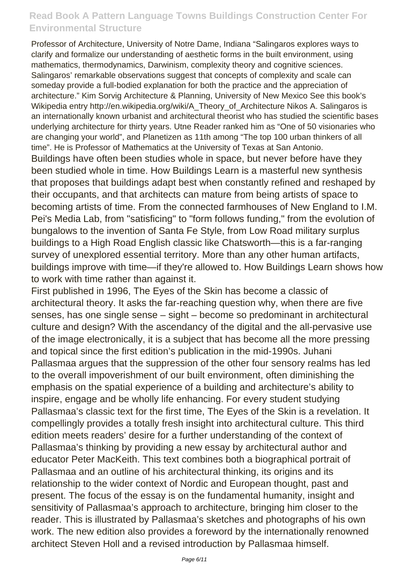Professor of Architecture, University of Notre Dame, Indiana "Salingaros explores ways to clarify and formalize our understanding of aesthetic forms in the built environment, using mathematics, thermodynamics, Darwinism, complexity theory and cognitive sciences. Salingaros' remarkable observations suggest that concepts of complexity and scale can someday provide a full-bodied explanation for both the practice and the appreciation of architecture." Kim Sorvig Architecture & Planning, University of New Mexico See this book's Wikipedia entry http://en.wikipedia.org/wiki/A\_Theory\_of\_Architecture Nikos A. Salingaros is an internationally known urbanist and architectural theorist who has studied the scientific bases underlying architecture for thirty years. Utne Reader ranked him as "One of 50 visionaries who are changing your world", and Planetizen as 11th among "The top 100 urban thinkers of all time". He is Professor of Mathematics at the University of Texas at San Antonio.

Buildings have often been studies whole in space, but never before have they been studied whole in time. How Buildings Learn is a masterful new synthesis that proposes that buildings adapt best when constantly refined and reshaped by their occupants, and that architects can mature from being artists of space to becoming artists of time. From the connected farmhouses of New England to I.M. Pei's Media Lab, from "satisficing" to "form follows funding," from the evolution of bungalows to the invention of Santa Fe Style, from Low Road military surplus buildings to a High Road English classic like Chatsworth—this is a far-ranging survey of unexplored essential territory. More than any other human artifacts, buildings improve with time—if they're allowed to. How Buildings Learn shows how to work with time rather than against it.

First published in 1996, The Eyes of the Skin has become a classic of architectural theory. It asks the far-reaching question why, when there are five senses, has one single sense – sight – become so predominant in architectural culture and design? With the ascendancy of the digital and the all-pervasive use of the image electronically, it is a subject that has become all the more pressing and topical since the first edition's publication in the mid-1990s. Juhani Pallasmaa argues that the suppression of the other four sensory realms has led to the overall impoverishment of our built environment, often diminishing the emphasis on the spatial experience of a building and architecture's ability to inspire, engage and be wholly life enhancing. For every student studying Pallasmaa's classic text for the first time, The Eyes of the Skin is a revelation. It compellingly provides a totally fresh insight into architectural culture. This third edition meets readers' desire for a further understanding of the context of Pallasmaa's thinking by providing a new essay by architectural author and educator Peter MacKeith. This text combines both a biographical portrait of Pallasmaa and an outline of his architectural thinking, its origins and its relationship to the wider context of Nordic and European thought, past and present. The focus of the essay is on the fundamental humanity, insight and sensitivity of Pallasmaa's approach to architecture, bringing him closer to the reader. This is illustrated by Pallasmaa's sketches and photographs of his own work. The new edition also provides a foreword by the internationally renowned architect Steven Holl and a revised introduction by Pallasmaa himself.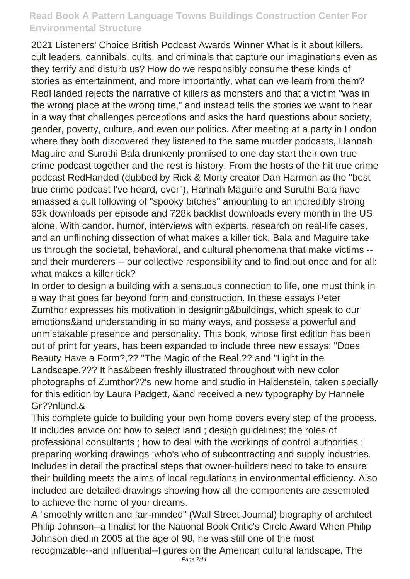2021 Listeners' Choice British Podcast Awards Winner What is it about killers, cult leaders, cannibals, cults, and criminals that capture our imaginations even as they terrify and disturb us? How do we responsibly consume these kinds of stories as entertainment, and more importantly, what can we learn from them? RedHanded rejects the narrative of killers as monsters and that a victim "was in the wrong place at the wrong time," and instead tells the stories we want to hear in a way that challenges perceptions and asks the hard questions about society, gender, poverty, culture, and even our politics. After meeting at a party in London where they both discovered they listened to the same murder podcasts, Hannah Maguire and Suruthi Bala drunkenly promised to one day start their own true crime podcast together and the rest is history. From the hosts of the hit true crime podcast RedHanded (dubbed by Rick & Morty creator Dan Harmon as the "best true crime podcast I've heard, ever"), Hannah Maguire and Suruthi Bala have amassed a cult following of "spooky bitches" amounting to an incredibly strong 63k downloads per episode and 728k backlist downloads every month in the US alone. With candor, humor, interviews with experts, research on real-life cases, and an unflinching dissection of what makes a killer tick, Bala and Maguire take us through the societal, behavioral, and cultural phenomena that make victims - and their murderers -- our collective responsibility and to find out once and for all: what makes a killer tick?

In order to design a building with a sensuous connection to life, one must think in a way that goes far beyond form and construction. In these essays Peter Zumthor expresses his motivation in designing&buildings, which speak to our emotions&and understanding in so many ways, and possess a powerful and unmistakable presence and personality. This book, whose first edition has been out of print for years, has been expanded to include three new essays: "Does Beauty Have a Form?,?? "The Magic of the Real,?? and "Light in the Landscape.??? It has&been freshly illustrated throughout with new color photographs of Zumthor??'s new home and studio in Haldenstein, taken specially for this edition by Laura Padgett, &and received a new typography by Hannele Gr??nlund.&

This complete guide to building your own home covers every step of the process. It includes advice on: how to select land ; design guidelines; the roles of professional consultants ; how to deal with the workings of control authorities ; preparing working drawings ;who's who of subcontracting and supply industries. Includes in detail the practical steps that owner-builders need to take to ensure their building meets the aims of local regulations in environmental efficiency. Also included are detailed drawings showing how all the components are assembled to achieve the home of your dreams.

A "smoothly written and fair-minded" (Wall Street Journal) biography of architect Philip Johnson--a finalist for the National Book Critic's Circle Award When Philip Johnson died in 2005 at the age of 98, he was still one of the most recognizable--and influential--figures on the American cultural landscape. The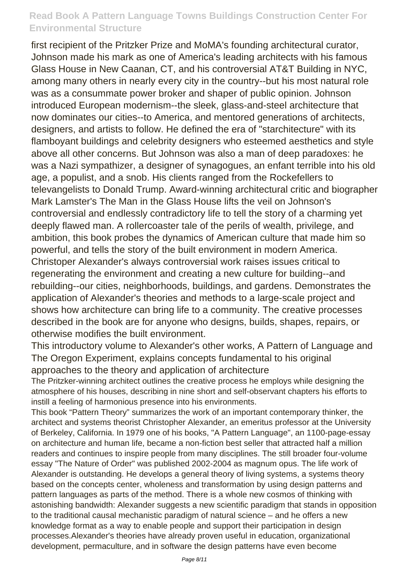first recipient of the Pritzker Prize and MoMA's founding architectural curator, Johnson made his mark as one of America's leading architects with his famous Glass House in New Caanan, CT, and his controversial AT&T Building in NYC, among many others in nearly every city in the country--but his most natural role was as a consummate power broker and shaper of public opinion. Johnson introduced European modernism--the sleek, glass-and-steel architecture that now dominates our cities--to America, and mentored generations of architects, designers, and artists to follow. He defined the era of "starchitecture" with its flamboyant buildings and celebrity designers who esteemed aesthetics and style above all other concerns. But Johnson was also a man of deep paradoxes: he was a Nazi sympathizer, a designer of synagogues, an enfant terrible into his old age, a populist, and a snob. His clients ranged from the Rockefellers to televangelists to Donald Trump. Award-winning architectural critic and biographer Mark Lamster's The Man in the Glass House lifts the veil on Johnson's controversial and endlessly contradictory life to tell the story of a charming yet deeply flawed man. A rollercoaster tale of the perils of wealth, privilege, and ambition, this book probes the dynamics of American culture that made him so powerful, and tells the story of the built environment in modern America. Christoper Alexander's always controversial work raises issues critical to regenerating the environment and creating a new culture for building--and rebuilding--our cities, neighborhoods, buildings, and gardens. Demonstrates the application of Alexander's theories and methods to a large-scale project and shows how architecture can bring life to a community. The creative processes described in the book are for anyone who designs, builds, shapes, repairs, or otherwise modifies the built environment.

This introductory volume to Alexander's other works, A Pattern of Language and The Oregon Experiment, explains concepts fundamental to his original approaches to the theory and application of architecture

The Pritzker-winning architect outlines the creative process he employs while designing the atmosphere of his houses, describing in nine short and self-observant chapters his efforts to instill a feeling of harmonious presence into his environments.

This book "Pattern Theory" summarizes the work of an important contemporary thinker, the architect and systems theorist Christopher Alexander, an emeritus professor at the University of Berkeley, California. In 1979 one of his books, "A Pattern Language", an 1100-page-essay on architecture and human life, became a non-fiction best seller that attracted half a million readers and continues to inspire people from many disciplines. The still broader four-volume essay "The Nature of Order" was published 2002-2004 as magnum opus. The life work of Alexander is outstanding. He develops a general theory of living systems, a systems theory based on the concepts center, wholeness and transformation by using design patterns and pattern languages as parts of the method. There is a whole new cosmos of thinking with astonishing bandwidth: Alexander suggests a new scientific paradigm that stands in opposition to the traditional causal mechanistic paradigm of natural science – and he offers a new knowledge format as a way to enable people and support their participation in design processes.Alexander's theories have already proven useful in education, organizational development, permaculture, and in software the design patterns have even become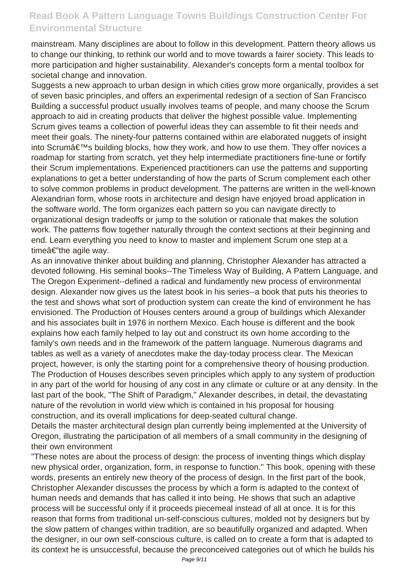mainstream. Many disciplines are about to follow in this development. Pattern theory allows us to change our thinking, to rethink our world and to move towards a fairer society. This leads to more participation and higher sustainability. Alexander's concepts form a mental toolbox for societal change and innovation.

Suggests a new approach to urban design in which cities grow more organically, provides a set of seven basic principles, and offers an experimental redesign of a section of San Francisco Building a successful product usually involves teams of people, and many choose the Scrum approach to aid in creating products that deliver the highest possible value. Implementing Scrum gives teams a collection of powerful ideas they can assemble to fit their needs and meet their goals. The ninety-four patterns contained within are elaborated nuggets of insight into Scrum's building blocks, how they work, and how to use them. They offer novices a roadmap for starting from scratch, yet they help intermediate practitioners fine-tune or fortify their Scrum implementations. Experienced practitioners can use the patterns and supporting explanations to get a better understanding of how the parts of Scrum complement each other to solve common problems in product development. The patterns are written in the well-known Alexandrian form, whose roots in architecture and design have enjoyed broad application in the software world. The form organizes each pattern so you can navigate directly to organizational design tradeoffs or jump to the solution or rationale that makes the solution work. The patterns flow together naturally through the context sections at their beginning and end. Learn everything you need to know to master and implement Scrum one step at a time $a \in \mathbb{R}^n$  the agile way.

As an innovative thinker about building and planning, Christopher Alexander has attracted a devoted following. His seminal books--The Timeless Way of Building, A Pattern Language, and The Oregon Experiment--defined a radical and fundamently new process of environmental design. Alexander now gives us the latest book in his series--a book that puts his theories to the test and shows what sort of production system can create the kind of environment he has envisioned. The Production of Houses centers around a group of buildings which Alexander and his associates built in 1976 in northern Mexico. Each house is different and the book explains how each family helped to lay out and construct its own home according to the family's own needs and in the framework of the pattern language. Numerous diagrams and tables as well as a variety of anecdotes make the day-today process clear. The Mexican project, however, is only the starting point for a comprehensive theory of housing production. The Production of Houses describes seven principles which apply to any system of production in any part of the world for housing of any cost in any climate or culture or at any density. In the last part of the book, "The Shift of Paradigm," Alexander describes, in detail, the devastating nature of the revolution in world view which is contained in his proposal for housing construction, and its overall implications for deep-seated cultural change.

Details the master architectural design plan currently being implemented at the University of Oregon, illustrating the participation of all members of a small community in the designing of their own environment

"These notes are about the process of design: the process of inventing things which display new physical order, organization, form, in response to function." This book, opening with these words, presents an entirely new theory of the process of design. In the first part of the book, Christopher Alexander discusses the process by which a form is adapted to the context of human needs and demands that has called it into being. He shows that such an adaptive process will be successful only if it proceeds piecemeal instead of all at once. It is for this reason that forms from traditional un-self-conscious cultures, molded not by designers but by the slow pattern of changes within tradition, are so beautifully organized and adapted. When the designer, in our own self-conscious culture, is called on to create a form that is adapted to its context he is unsuccessful, because the preconceived categories out of which he builds his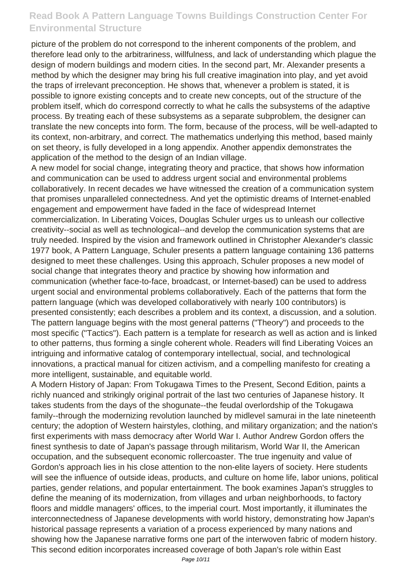picture of the problem do not correspond to the inherent components of the problem, and therefore lead only to the arbitrariness, willfulness, and lack of understanding which plague the design of modern buildings and modern cities. In the second part, Mr. Alexander presents a method by which the designer may bring his full creative imagination into play, and yet avoid the traps of irrelevant preconception. He shows that, whenever a problem is stated, it is possible to ignore existing concepts and to create new concepts, out of the structure of the problem itself, which do correspond correctly to what he calls the subsystems of the adaptive process. By treating each of these subsystems as a separate subproblem, the designer can translate the new concepts into form. The form, because of the process, will be well-adapted to its context, non-arbitrary, and correct. The mathematics underlying this method, based mainly on set theory, is fully developed in a long appendix. Another appendix demonstrates the application of the method to the design of an Indian village.

A new model for social change, integrating theory and practice, that shows how information and communication can be used to address urgent social and environmental problems collaboratively. In recent decades we have witnessed the creation of a communication system that promises unparalleled connectedness. And yet the optimistic dreams of Internet-enabled engagement and empowerment have faded in the face of widespread Internet commercialization. In Liberating Voices, Douglas Schuler urges us to unleash our collective creativity--social as well as technological--and develop the communication systems that are truly needed. Inspired by the vision and framework outlined in Christopher Alexander's classic 1977 book, A Pattern Language, Schuler presents a pattern language containing 136 patterns designed to meet these challenges. Using this approach, Schuler proposes a new model of social change that integrates theory and practice by showing how information and communication (whether face-to-face, broadcast, or Internet-based) can be used to address urgent social and environmental problems collaboratively. Each of the patterns that form the pattern language (which was developed collaboratively with nearly 100 contributors) is presented consistently; each describes a problem and its context, a discussion, and a solution. The pattern language begins with the most general patterns ("Theory") and proceeds to the most specific ("Tactics"). Each pattern is a template for research as well as action and is linked to other patterns, thus forming a single coherent whole. Readers will find Liberating Voices an intriguing and informative catalog of contemporary intellectual, social, and technological innovations, a practical manual for citizen activism, and a compelling manifesto for creating a more intelligent, sustainable, and equitable world.

A Modern History of Japan: From Tokugawa Times to the Present, Second Edition, paints a richly nuanced and strikingly original portrait of the last two centuries of Japanese history. It takes students from the days of the shogunate--the feudal overlordship of the Tokugawa family--through the modernizing revolution launched by midlevel samurai in the late nineteenth century; the adoption of Western hairstyles, clothing, and military organization; and the nation's first experiments with mass democracy after World War I. Author Andrew Gordon offers the finest synthesis to date of Japan's passage through militarism, World War II, the American occupation, and the subsequent economic rollercoaster. The true ingenuity and value of Gordon's approach lies in his close attention to the non-elite layers of society. Here students will see the influence of outside ideas, products, and culture on home life, labor unions, political parties, gender relations, and popular entertainment. The book examines Japan's struggles to define the meaning of its modernization, from villages and urban neighborhoods, to factory floors and middle managers' offices, to the imperial court. Most importantly, it illuminates the interconnectedness of Japanese developments with world history, demonstrating how Japan's historical passage represents a variation of a process experienced by many nations and showing how the Japanese narrative forms one part of the interwoven fabric of modern history. This second edition incorporates increased coverage of both Japan's role within East